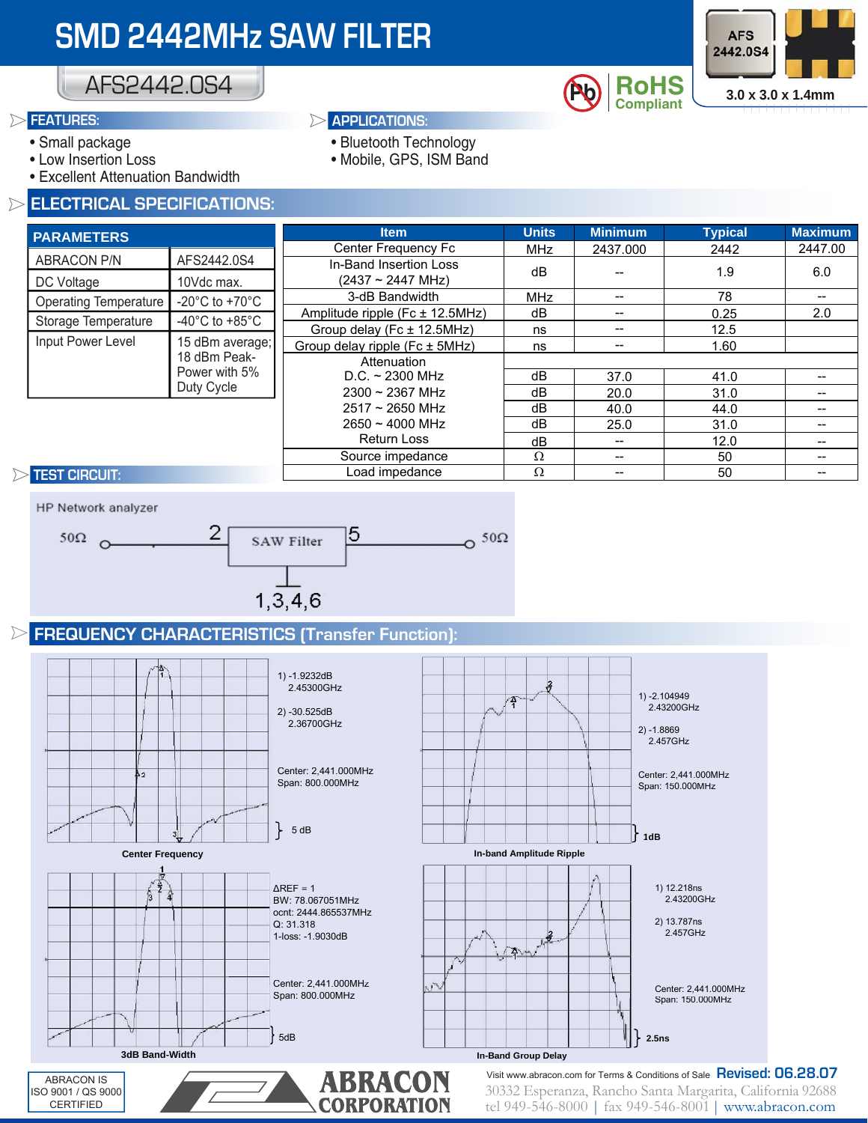

## AFS2442.0S4

#### **FEATURES:**

- Small package
- Low Insertion Loss
- Excellent Attenuation Bandwidth

#### **ELECTRICAL SPECIFICATIONS:**

#### **APPLICATIONS:**

- Bluetooth Technology
- Mobile, GPS, ISM Band

| <b>PARAMETERS</b>            |                                                                | <b>Item</b>                     | <b>Units</b> | <b>Minimum</b> | <b>Typical</b> | <b>Maximum</b> |
|------------------------------|----------------------------------------------------------------|---------------------------------|--------------|----------------|----------------|----------------|
|                              |                                                                | Center Frequency Fc             | <b>MHz</b>   | 2437.000       | 2442           | 2447.00        |
| <b>ABRACON P/N</b>           | AFS2442.0S4                                                    | In-Band Insertion Loss          | dB           |                | 1.9            | 6.0            |
| DC Voltage                   | 10Vdc max.                                                     | $(2437 \sim 2447 \text{ MHz})$  |              |                |                |                |
| <b>Operating Temperature</b> | -20 $^{\circ}$ C to +70 $^{\circ}$ C                           | 3-dB Bandwidth                  | <b>MHz</b>   | --             | 78             |                |
|                              | -40 $^{\circ}$ C to +85 $^{\circ}$ C                           | Amplitude ripple (Fc ± 12.5MHz) | dB           | --             | 0.25           | 2.0            |
| Storage Temperature          |                                                                | Group delay (Fc $\pm$ 12.5MHz)  | ns           | --             | 12.5           |                |
| Input Power Level            | 15 dBm average;<br>18 dBm Peak-<br>Power with 5%<br>Duty Cycle | Group delay ripple (Fc ± 5MHz)  | ns           |                | 1.60           |                |
|                              |                                                                | Attenuation                     |              |                |                |                |
|                              |                                                                | $D.C. \sim 2300$ MHz            | dB           | 37.0           | 41.0           |                |
|                              |                                                                | $2300 \sim 2367$ MHz            | dB           | 20.0           | 31.0           |                |
|                              |                                                                | $2517 \sim 2650$ MHz            | dB           | 40.0           | 44.0           |                |
|                              |                                                                | $2650 \sim 4000$ MHz            | dB           | 25.0           | 31.0           |                |
|                              |                                                                | Return Loss                     | dB           | $- -$          | 12.0           |                |
|                              |                                                                | Source impedance                | $\Omega$     | --             | 50             |                |
| <b>TEST CIRCUIT:</b>         |                                                                | Load impedance                  | Ω            |                | 50             |                |

#### **TEST CIRCUIT:**



### **FREQUENCY CHARACTERISTICS (Transfer Function):**

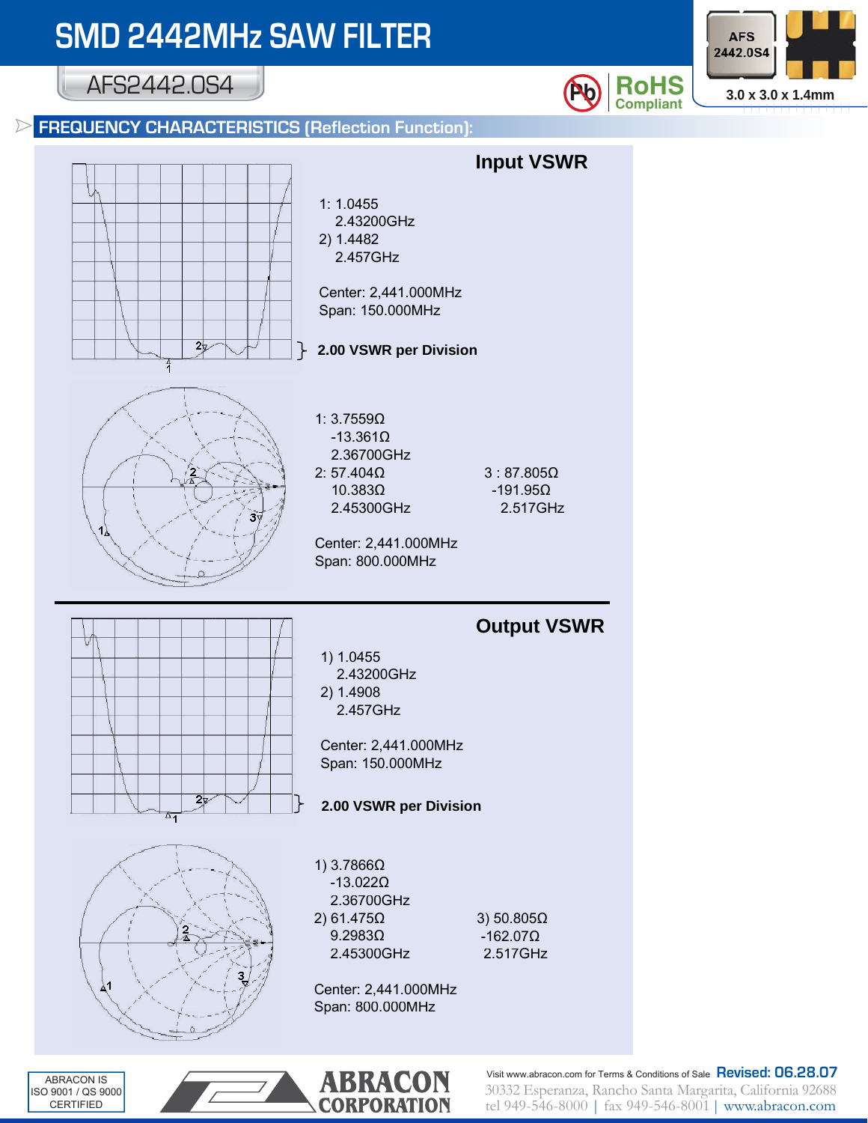AFS2442.0S4





ABRACON IS ISO 9001 / QS 9000 CERTIFIED



**Pb RoHS**  $\frac{3.0 \times 3.0 \times 1.4 \text{mm}}{3.0 \times 3.0 \times 1.4 \text{mm}}$ 

**AFS** 2442.0S4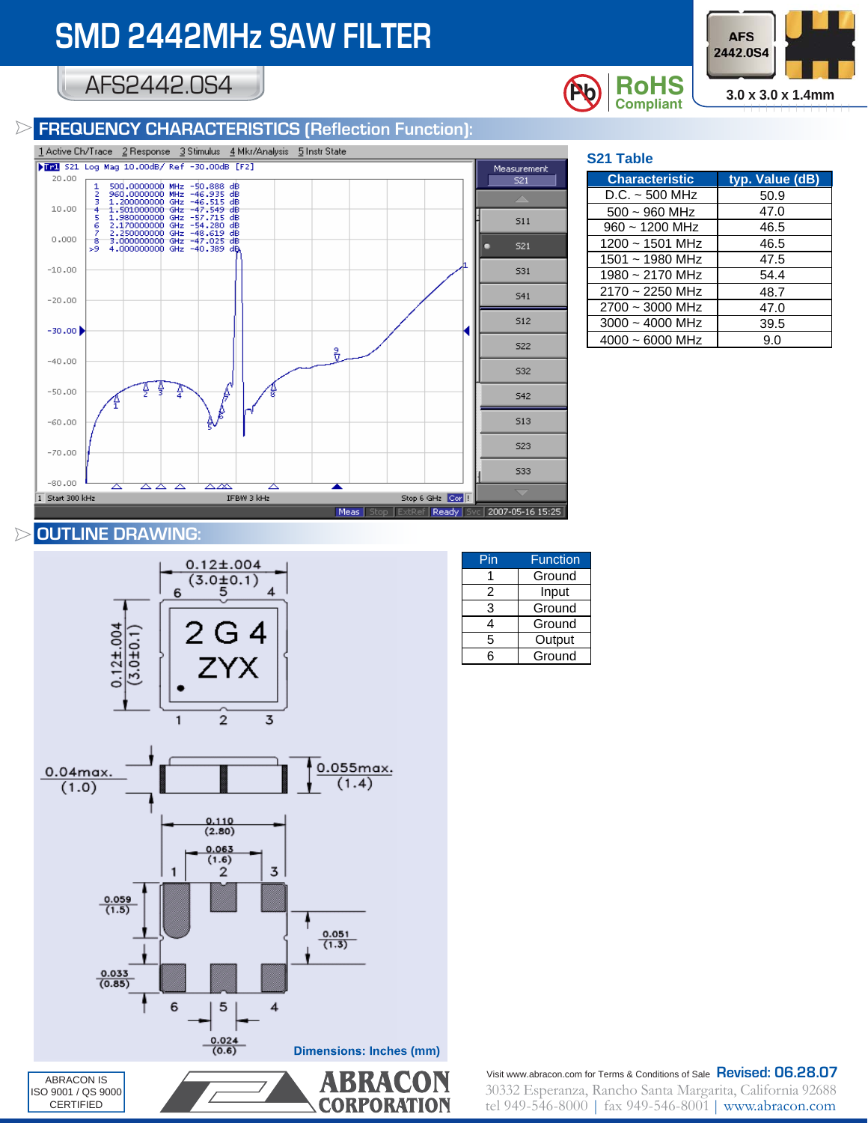## AFS2442.0S4

### **FREQUENCY CHARACTERISTICS (Reflection Function):**



| <b>S21 Table</b>      |                 |  |  |  |  |
|-----------------------|-----------------|--|--|--|--|
| <b>Characteristic</b> | typ. Value (dB) |  |  |  |  |
| D.C. ~ 500 MHz        | 50.9            |  |  |  |  |
| $500 - 960$ MHz       | 47.0            |  |  |  |  |
| $960 \sim 1200$ MHz   | 46.5            |  |  |  |  |
| $1200 \sim 1501$ MHz  | 46.5            |  |  |  |  |
| $1501 \sim 1980$ MHz  | 47.5            |  |  |  |  |
| 1980 ~ 2170 MHz       | 54.4            |  |  |  |  |
| $2170 \sim 2250$ MHz  | 48.7            |  |  |  |  |
| $2700 \sim 3000$ MHz  | 47.0            |  |  |  |  |
| $3000 - 4000$ MHz     | 39.5            |  |  |  |  |
| 4000 ~ 6000 MHz       | 9.0             |  |  |  |  |

### **OUTLINE DRAWING:**

ISO 9001 / QS 9000 CERTIFIED



**CORPORATION** 

| Pin | <b>Function</b> |  |  |
|-----|-----------------|--|--|
|     | Ground          |  |  |
| 2   | Input           |  |  |
| 3   | Ground          |  |  |
| 4   | Ground          |  |  |
| 5   | Output          |  |  |
| հ   | Ground          |  |  |

30332 Esperanza, Rancho Santa Margarita, California 92688 tel 949-546-8000 | fax 949-546-8001 | www.abracon.com Visit www.abracon.com for Terms & Conditions of Sale **Revised: 06.28.07**